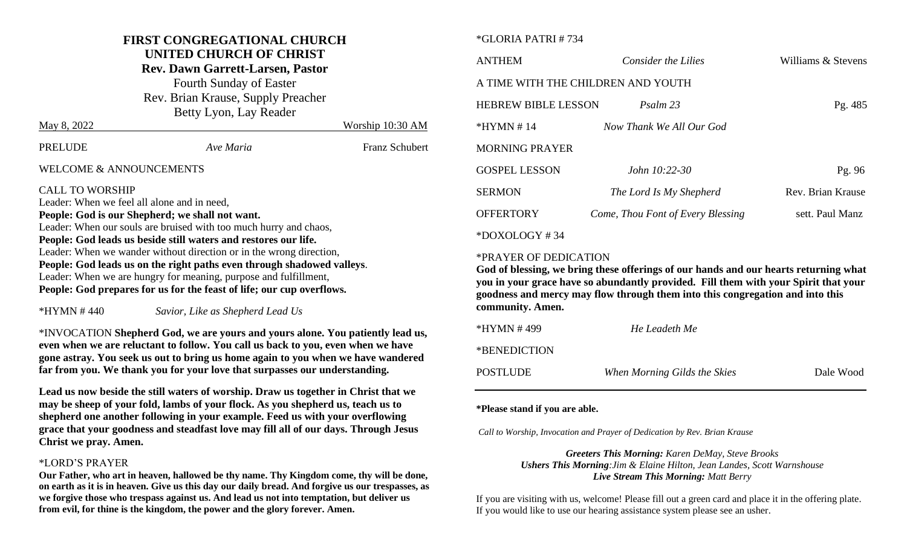#### **FIRST CONGREGATIONAL CHURCH UNITED CHURCH OF CHRIST**

# **Rev. Dawn Garrett-Larsen, Pastor**

Fourth Sunday of Easter Rev. Brian Krause, Supply Preacher Betty Lyon, Lay Reader

| May 8, 2022                                                                                                              |                                                                       | Worship 10:30 AM      |
|--------------------------------------------------------------------------------------------------------------------------|-----------------------------------------------------------------------|-----------------------|
| <b>PRELUDE</b>                                                                                                           | Ave Maria                                                             | <b>Franz Schubert</b> |
| WELCOME & ANNOUNCEMENTS                                                                                                  |                                                                       |                       |
| <b>CALL TO WORSHIP</b><br>Leader: When we feel all alone and in need,<br>People: God is our Shepherd; we shall not want. | Leader: When our souls are bruised with too much hurry and chaos,     |                       |
|                                                                                                                          | <b>Poonlo:</b> Cod loads us bosido still waters and restores our life |                       |

**People: God leads us beside still waters and restores our life.** Leader: When we wander without direction or in the wrong direction, **People: God leads us on the right paths even through shadowed valleys**. Leader: When we are hungry for meaning, purpose and fulfillment, **People: God prepares for us for the feast of life; our cup overflows.**

\*HYMN # 440 *Savior, Like as Shepherd Lead Us*

\*INVOCATION **Shepherd God, we are yours and yours alone. You patiently lead us, even when we are reluctant to follow. You call us back to you, even when we have gone astray. You seek us out to bring us home again to you when we have wandered far from you. We thank you for your love that surpasses our understanding.** 

**Lead us now beside the still waters of worship. Draw us together in Christ that we may be sheep of your fold, lambs of your flock. As you shepherd us, teach us to shepherd one another following in your example. Feed us with your overflowing grace that your goodness and steadfast love may fill all of our days. Through Jesus Christ we pray. Amen.**

#### \*LORD'S PRAYER

**Our Father, who art in heaven, hallowed be thy name. Thy Kingdom come, thy will be done, on earth as it is in heaven. Give us this day our daily bread. And forgive us our trespasses, as we forgive those who trespass against us. And lead us not into temptation, but deliver us from evil, for thine is the kingdom, the power and the glory forever. Amen.**

#### \*GLORIA PATRI # 734

| <b>ANTHEM</b>                      | Consider the Lilies               | Williams & Stevens |
|------------------------------------|-----------------------------------|--------------------|
| A TIME WITH THE CHILDREN AND YOUTH |                                   |                    |
| <b>HEBREW BIBLE LESSON</b>         | Psalm 23                          | Pg. 485            |
| $*HYMN \# 14$                      | Now Thank We All Our God          |                    |
| <b>MORNING PRAYER</b>              |                                   |                    |
| <b>GOSPEL LESSON</b>               | <i>John</i> $10:22-30$            | Pg. $96$           |
| <b>SERMON</b>                      | The Lord Is My Shepherd           | Rev. Brian Krause  |
| <b>OFFERTORY</b>                   | Come, Thou Font of Every Blessing | sett. Paul Manz    |
| $*$ DOXOLOGY#34                    |                                   |                    |

#### \*PRAYER OF DEDICATION

**God of blessing, we bring these offerings of our hands and our hearts returning what you in your grace have so abundantly provided. Fill them with your Spirit that your goodness and mercy may flow through them into this congregation and into this community. Amen.** 

| *HYMN # 499  | He Leadeth Me                |           |
|--------------|------------------------------|-----------|
| *BENEDICTION |                              |           |
| POSTLUDE     | When Morning Gilds the Skies | Dale Wood |

#### **\*Please stand if you are able.**

*Call to Worship, Invocation and Prayer of Dedication by Rev. Brian Krause*

*Greeters This Morning: Karen DeMay, Steve Brooks Ushers This Morning:Jim & Elaine Hilton, Jean Landes, Scott Warnshouse Live Stream This Morning: Matt Berry*

If you are visiting with us, welcome! Please fill out a green card and place it in the offering plate. If you would like to use our hearing assistance system please see an usher.